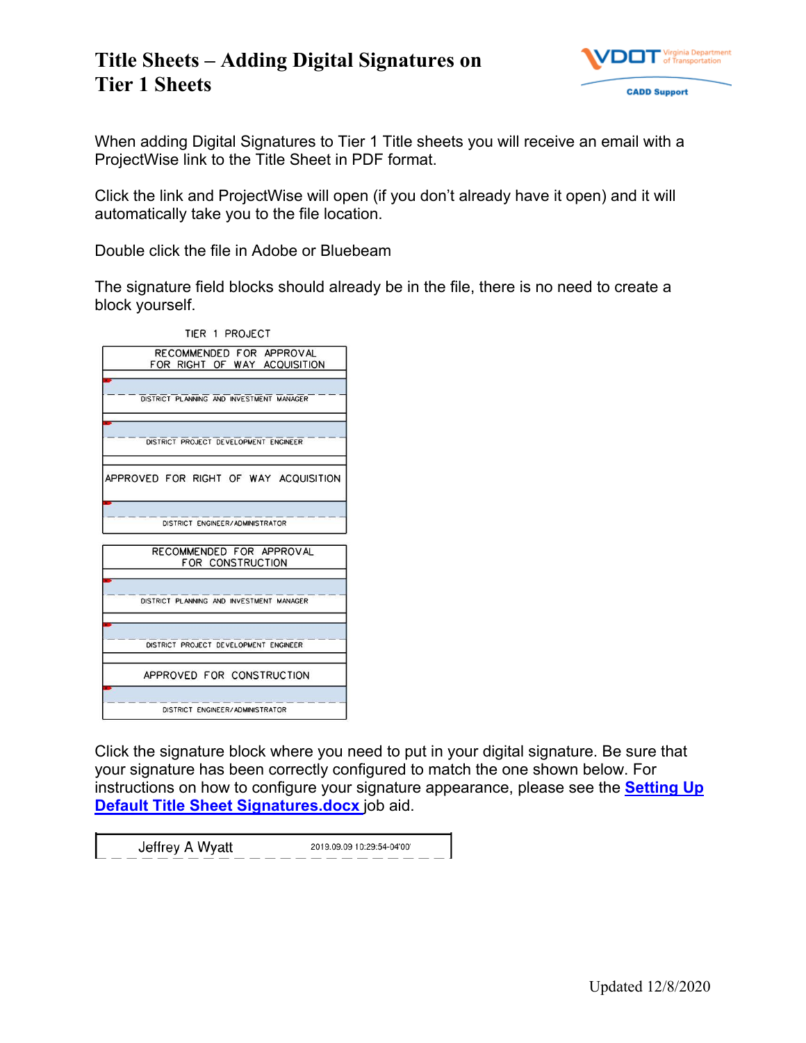

When adding Digital Signatures to Tier 1 Title sheets you will receive an email with a ProjectWise link to the Title Sheet in PDF format.

Click the link and ProjectWise will open (if you don't already have it open) and it will automatically take you to the file location.

Double click the file in Adobe or Bluebeam

The signature field blocks should already be in the file, there is no need to create a block yourself.

| TIER 1 PROJECT                                           |
|----------------------------------------------------------|
| RECOMMENDED FOR APPROVAL<br>FOR RIGHT OF WAY ACOUISITION |
| DISTRICT PLANNING AND INVESTMENT MANAGER                 |
| DISTRICT PROJECT DEVELOPMENT ENGINEER                    |
| APPROVED FOR RIGHT OF WAY ACQUISITION                    |
| DISTRICT ENGINEER/ADMINISTRATOR                          |
| RECOMMENDED FOR APPROVAL<br>FOR CONSTRUCTION             |
| DISTRICT PLANNING AND INVESTMENT MANAGER                 |
| DISTRICT PROJECT DEVELOPMENT ENGINEER                    |
| APPROVED FOR CONSTRUCTION                                |
| DISTRICT ENGINEER/ADMINISTRATOR                          |

Click the signature block where you need to put in your digital signature. Be sure that your signature has been correctly configured to match the one shown below. For instructions on how to configure your signature appearance, please see the **[Setting Up](https://projectwiseconnector.azurewebsites.net/api/GetProcessGmailLink?code=zBBTVzTLoCXyxzYs/eme6FmqAnOnQBRHQHnNHl55aNpOS59HfWapQA==&timeout=3000&pwlink=pw://WAP04113.cov.virginia.gov:PW/Documents/D%7B05fdbd4a-d61d-49bd-924c-cfd81a8a5375%7D)  [Default Title Sheet Signatures.docx](https://projectwiseconnector.azurewebsites.net/api/GetProcessGmailLink?code=zBBTVzTLoCXyxzYs/eme6FmqAnOnQBRHQHnNHl55aNpOS59HfWapQA==&timeout=3000&pwlink=pw://WAP04113.cov.virginia.gov:PW/Documents/D%7B05fdbd4a-d61d-49bd-924c-cfd81a8a5375%7D)** job aid.

| Jeffrey A Wyatt | 2019.09.09 10:29:54-04'00' |
|-----------------|----------------------------|
|                 |                            |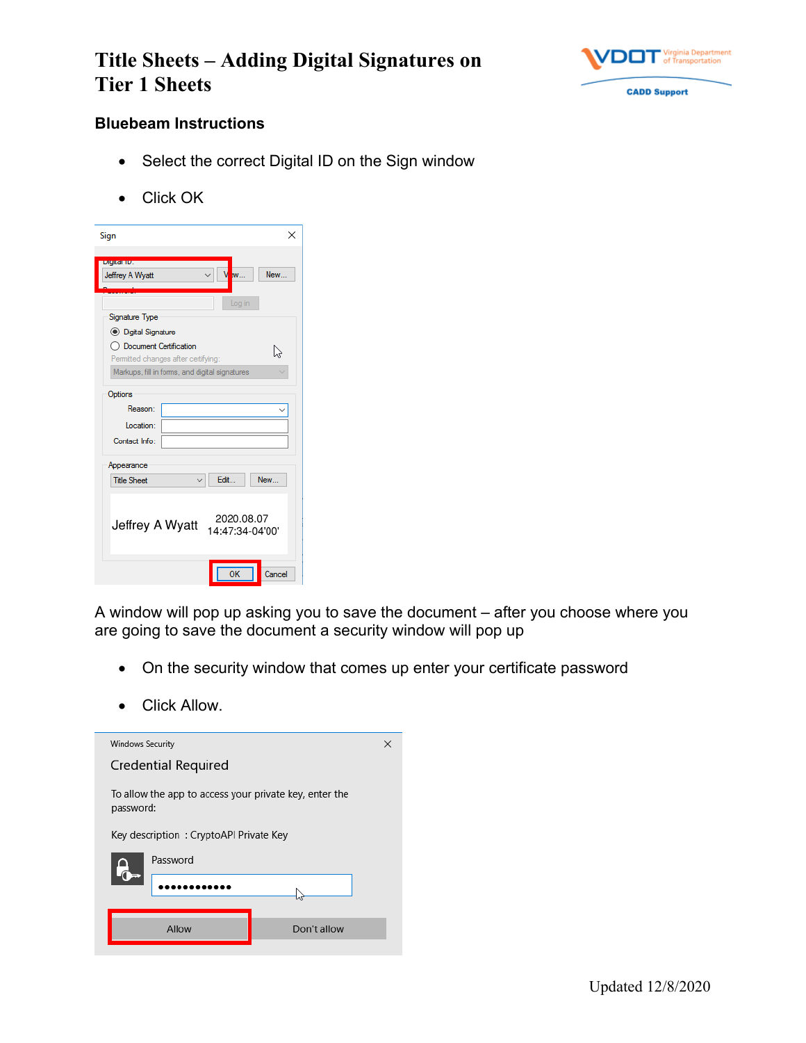

#### **Bluebeam Instructions**

- Select the correct Digital ID on the Sign window
- Click OK

| ×<br>Sign                                                            |
|----------------------------------------------------------------------|
| Digital ID:<br>New<br>Jeffrey A Wyatt<br>                            |
| Log in<br>Signature Type                                             |
| <b>IDigital Signature</b>                                            |
| ◯ Document Certification<br>V<br>Permitted changes after certifying: |
| Markups, fill in forms, and digital signatures                       |
| Options                                                              |
| Reason:                                                              |
| Location:                                                            |
| Contact Info:                                                        |
| Appearance                                                           |
| Edit<br>New<br><b>Title Sheet</b>                                    |
| 2020.08.07<br>Jeffrey A Wyatt<br>14:47:34-04'00'                     |
| OK<br>Cancel                                                         |

A window will pop up asking you to save the document – after you choose where you are going to save the document a security window will pop up

- On the security window that comes up enter your certificate password
- Click Allow.

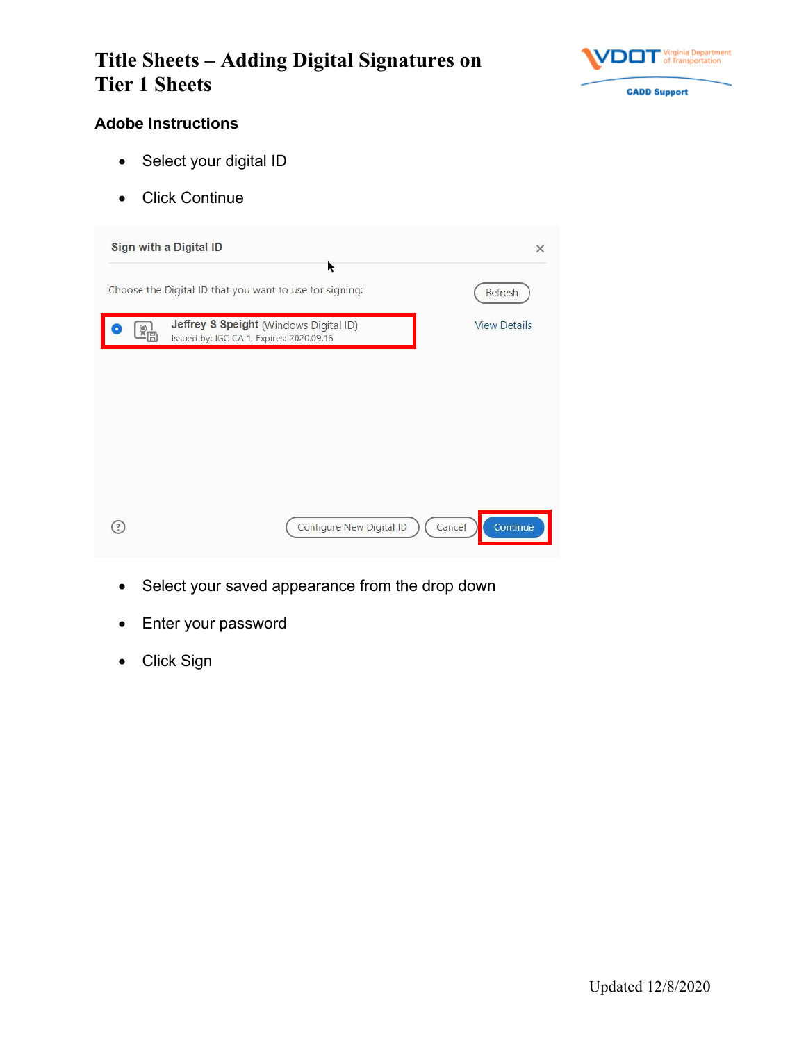

### **Adobe Instructions**

- Select your digital ID
- Click Continue

| Sign with a Digital ID |                                                                                    | ×                   |
|------------------------|------------------------------------------------------------------------------------|---------------------|
|                        | ĸ<br>Choose the Digital ID that you want to use for signing:                       | Refresh             |
|                        | Jeffrey S Speight (Windows Digital ID)<br>Issued by: IGC CA 1, Expires: 2020.09.16 | <b>View Details</b> |
|                        |                                                                                    |                     |
|                        |                                                                                    |                     |
|                        |                                                                                    |                     |
|                        |                                                                                    |                     |
|                        | Configure New Digital ID                                                           | Continue<br>Cancel  |

- Select your saved appearance from the drop down
- Enter your password
- Click Sign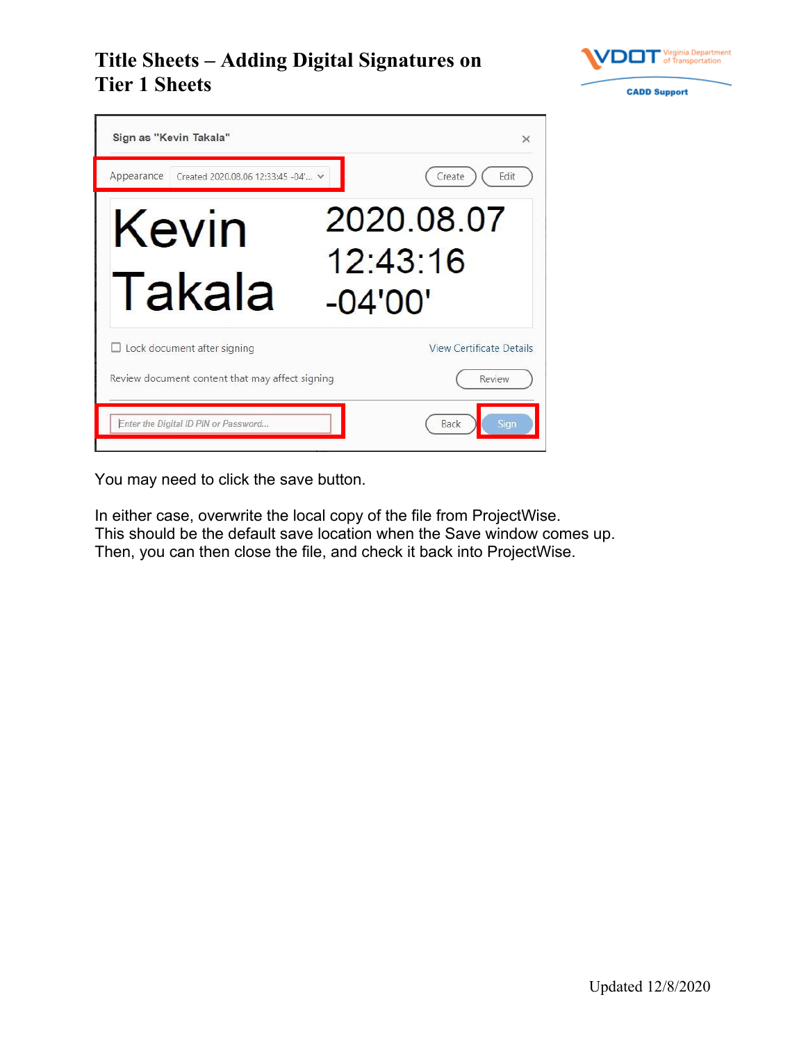



You may need to click the save button.

In either case, overwrite the local copy of the file from ProjectWise. This should be the default save location when the Save window comes up. Then, you can then close the file, and check it back into ProjectWise.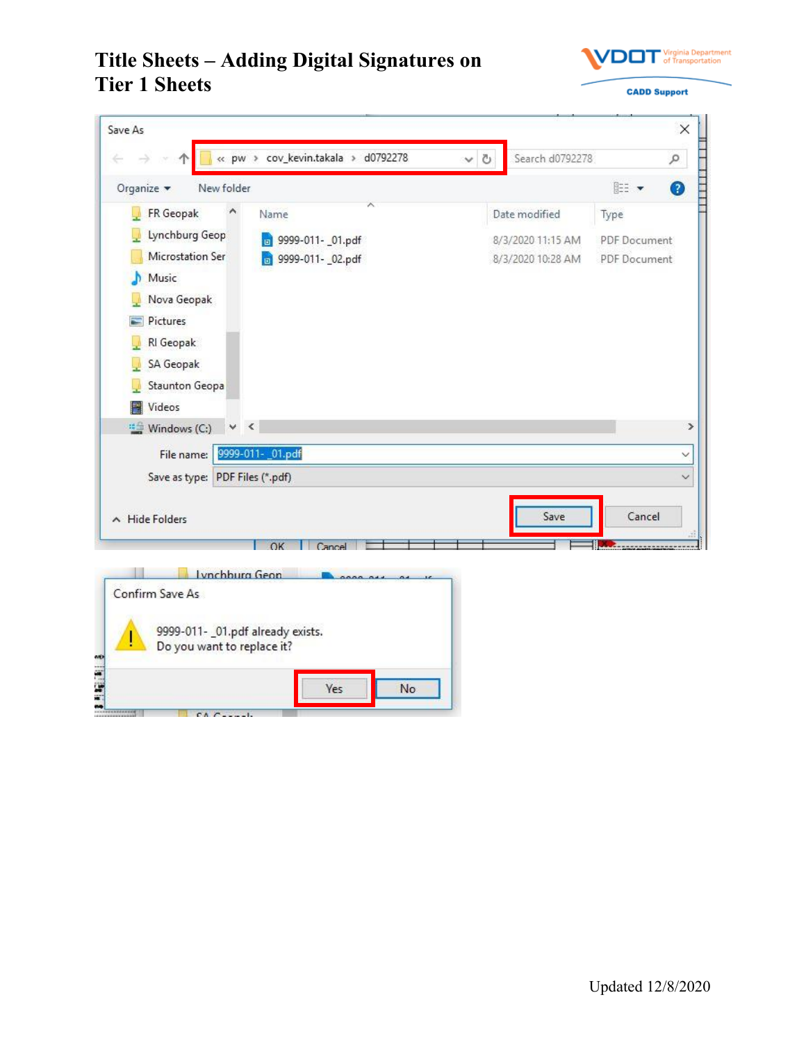

| Save As                                                         |        |                   |                     | X |
|-----------------------------------------------------------------|--------|-------------------|---------------------|---|
| « pw > cov_kevin.takala > d0792278<br>Φ                         | Ö<br>v | Search d0792278   |                     | ٩ |
| New folder<br>Organize *                                        |        |                   | EE ·                | ◙ |
| FR Geopak<br>Name                                               |        | Date modified     | Type                |   |
| Lynchburg Geop<br>B 9999-011- 01.pdf                            |        | 8/3/2020 11:15 AM | <b>PDF</b> Document |   |
| Microstation Ser<br>b 9999-011- 02.pdf                          |        | 8/3/2020 10:28 AM | PDF Document        |   |
| Music                                                           |        |                   |                     |   |
| Nova Geopak                                                     |        |                   |                     |   |
| Pictures                                                        |        |                   |                     |   |
| RI Geopak                                                       |        |                   |                     |   |
| SA Geopak                                                       |        |                   |                     |   |
| <b>Staunton Geopa</b>                                           |        |                   |                     |   |
| Videos                                                          |        |                   |                     |   |
| <sup>11</sup> <sup>11</sup> Windows (C:)<br>$\prec$             |        |                   |                     |   |
| 9999-011- _01.pdf<br>File name:                                 |        |                   |                     | ◡ |
| Save as type: PDF Files (*.pdf)                                 |        |                   |                     |   |
|                                                                 |        |                   |                     |   |
| A Hide Folders                                                  |        | Save              | Cancel              |   |
| OK<br>Cancel                                                    |        |                   |                     |   |
|                                                                 |        |                   |                     |   |
| Lynchburg Geon<br>Confirm Save As                               |        |                   |                     |   |
|                                                                 |        |                   |                     |   |
| 9999-011- _01.pdf already exists.<br>Do you want to replace it? |        |                   |                     |   |
| Yes<br>No                                                       |        |                   |                     |   |